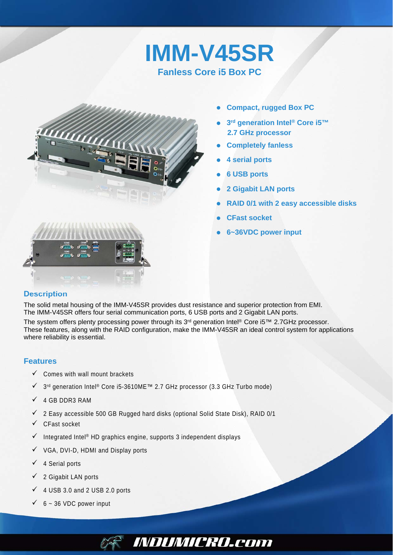# **IMM-V45SR Fanless Core i5 Box PC**



- **Compact, rugged Box PC**
- **3rd generation Intel® Core i5™ 2.7 GHz processor**
- **Completely fanless**
- **4 serial ports**
- **6 USB ports**
- **2 Gigabit LAN ports**
- **RAID 0/1 with 2 easy accessible disks**
- **CFast socket**
- **6~36VDC power input**

### **Description**

The solid metal housing of the IMM-V45SR provides dust resistance and superior protection from EMI. The IMM-V45SR offers four serial communication ports, 6 USB ports and 2 Gigabit LAN ports. The system offers plenty processing power through its 3<sup>rd</sup> generation Intel<sup>®</sup> Core i5™ 2.7GHz processor.

These features, along with the RAID configuration, make the IMM-V45SR an ideal control system for applications where reliability is essential.

*INDUMICRO.com* 

#### **Features**

- $\checkmark$  Comes with wall mount brackets
- 3rd generation Intel® Core i5-3610ME™ 2.7 GHz processor (3.3 GHz Turbo mode)
- $\checkmark$  4 GB DDR3 RAM
- $\checkmark$  2 Easy accessible 500 GB Rugged hard disks (optional Solid State Disk), RAID 0/1
- $\checkmark$  CFast socket
- $\checkmark$  Integrated Intel® HD graphics engine, supports 3 independent displays
- $\checkmark$  VGA, DVI-D, HDMI and Display ports
- $\checkmark$  4 Serial ports
- $\checkmark$  2 Gigabit LAN ports
- $\checkmark$  4 USB 3.0 and 2 USB 2.0 ports
- $6 36$  VDC power input